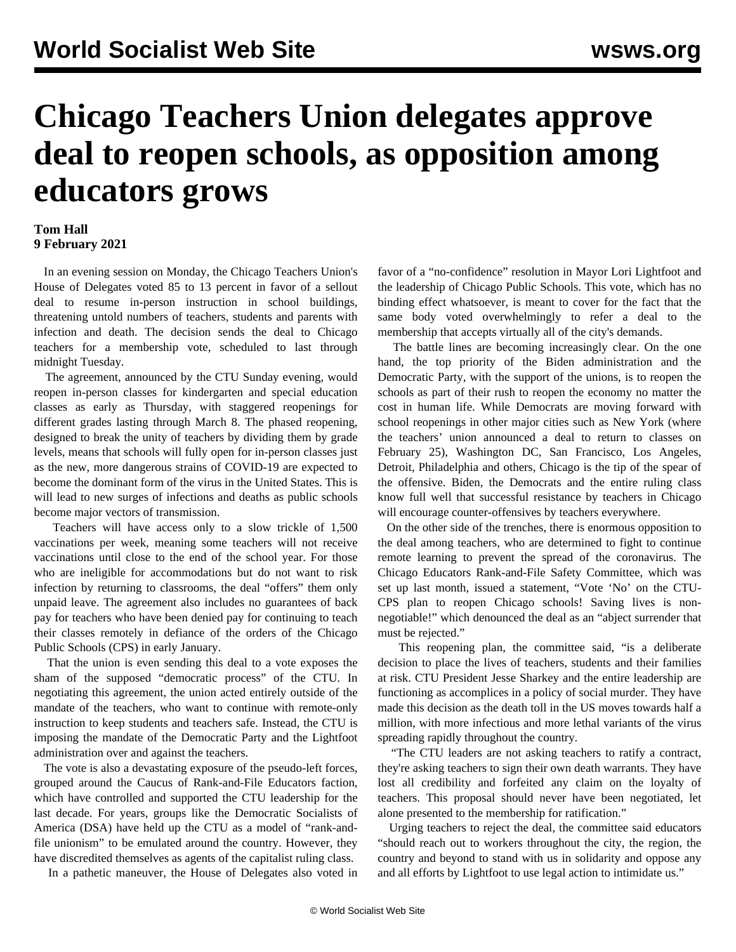## **Chicago Teachers Union delegates approve deal to reopen schools, as opposition among educators grows**

## **Tom Hall 9 February 2021**

 In an evening session on Monday, the Chicago Teachers Union's House of Delegates voted 85 to 13 percent in favor of a sellout deal to resume in-person instruction in school buildings, threatening untold numbers of teachers, students and parents with infection and death. The decision sends the deal to Chicago teachers for a membership vote, scheduled to last through midnight Tuesday.

 The agreement, announced by the CTU Sunday evening, would reopen in-person classes for kindergarten and special education classes as early as Thursday, with staggered reopenings for different grades lasting through March 8. The phased reopening, designed to break the unity of teachers by dividing them by grade levels, means that schools will fully open for in-person classes just as the new, more dangerous strains of COVID-19 are expected to become the dominant form of the virus in the United States. This is will lead to new surges of infections and deaths as public schools become major vectors of transmission.

 Teachers will have access only to a slow trickle of 1,500 vaccinations per week, meaning some teachers will not receive vaccinations until close to the end of the school year. For those who are ineligible for accommodations but do not want to risk infection by returning to classrooms, the deal "offers" them only unpaid leave. The agreement also includes no guarantees of back pay for teachers who have been denied pay for continuing to teach their classes remotely in defiance of the orders of the Chicago Public Schools (CPS) in early January.

 That the union is even sending this deal to a vote exposes the sham of the supposed "democratic process" of the CTU. In negotiating this agreement, the union acted entirely outside of the mandate of the teachers, who want to continue with remote-only instruction to keep students and teachers safe. Instead, the CTU is imposing the mandate of the Democratic Party and the Lightfoot administration over and against the teachers.

 The vote is also a devastating exposure of the pseudo-left forces, grouped around the Caucus of Rank-and-File Educators faction, which have controlled and supported the CTU leadership for the last decade. For years, groups like the Democratic Socialists of America (DSA) have held up the CTU as a model of "rank-andfile unionism" to be emulated around the country. However, they have discredited themselves as agents of the capitalist ruling class.

In a pathetic maneuver, the House of Delegates also voted in

favor of a "no-confidence" resolution in Mayor Lori Lightfoot and the leadership of Chicago Public Schools. This vote, which has no binding effect whatsoever, is meant to cover for the fact that the same body voted overwhelmingly to refer a deal to the membership that accepts virtually all of the city's demands.

 The battle lines are becoming increasingly clear. On the one hand, the top priority of the Biden administration and the Democratic Party, with the support of the unions, is to reopen the schools as part of their rush to reopen the economy no matter the cost in human life. While Democrats are moving forward with school reopenings in other major cities such as New York (where the teachers' union announced a deal to return to classes on February 25), Washington DC, San Francisco, Los Angeles, Detroit, Philadelphia and others, Chicago is the tip of the spear of the offensive. Biden, the Democrats and the entire ruling class know full well that successful resistance by teachers in Chicago will encourage counter-offensives by teachers everywhere.

 On the other side of the trenches, there is enormous opposition to the deal among teachers, who are determined to fight to continue remote learning to prevent the spread of the coronavirus. The Chicago Educators Rank-and-File Safety Committee, which was set up last month, issued a statement, ["Vote 'No' on the CTU-](/en/articles/2021/02/08/chi3-f08.html)[CPS plan to reopen Chicago schools! Saving lives is non](/en/articles/2021/02/08/chi3-f08.html)[negotiable!](/en/articles/2021/02/08/chi3-f08.html)" which denounced the deal as an "abject surrender that must be rejected."

 This reopening plan, the committee said, "is a deliberate decision to place the lives of teachers, students and their families at risk. CTU President Jesse Sharkey and the entire leadership are functioning as accomplices in a policy of social murder. They have made this decision as the death toll in the US moves towards half a million, with more infectious and more lethal variants of the virus spreading rapidly throughout the country.

 "The CTU leaders are not asking teachers to ratify a contract, they're asking teachers to sign their own death warrants. They have lost all credibility and forfeited any claim on the loyalty of teachers. This proposal should never have been negotiated, let alone presented to the membership for ratification."

 Urging teachers to reject the deal, the committee said educators "should reach out to workers throughout the city, the region, the country and beyond to stand with us in solidarity and oppose any and all efforts by Lightfoot to use legal action to intimidate us."